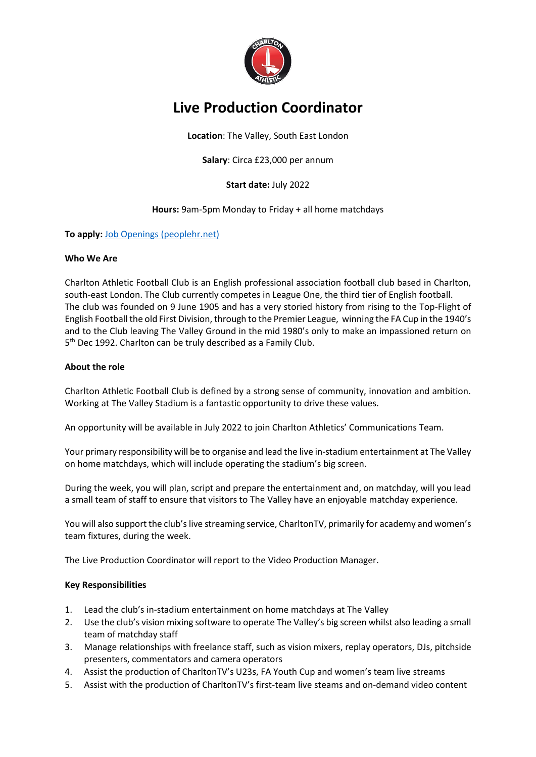

# **Live Production Coordinator**

**Location**: The Valley, South East London

**Salary**: Circa £23,000 per annum

**Start date:** July 2022

**Hours:** 9am-5pm Monday to Friday + all home matchdays

## **To apply:** Job [Openings \(peoplehr.net\)](https://cafc.peoplehr.net/Pages/JobBoard/Opening.aspx?v=703d8ddc-5579-4f01-b1d0-57c6fe802772)

#### **Who We Are**

Charlton Athletic Football Club is an English professional association football club based in Charlton, south-east London. The Club currently competes in League One, the third tier of English football. The club was founded on 9 June 1905 and has a very storied history from rising to the Top-Flight of English Football the old First Division, through to the Premier League, winning the FA Cup in the 1940's and to the Club leaving The Valley Ground in the mid 1980's only to make an impassioned return on 5<sup>th</sup> Dec 1992. Charlton can be truly described as a Family Club.

#### **About the role**

Charlton Athletic Football Club is defined by a strong sense of community, innovation and ambition. Working at The Valley Stadium is a fantastic opportunity to drive these values.

An opportunity will be available in July 2022 to join Charlton Athletics' Communications Team.

Your primary responsibility will be to organise and lead the live in-stadium entertainment at The Valley on home matchdays, which will include operating the stadium's big screen.

During the week, you will plan, script and prepare the entertainment and, on matchday, will you lead a small team of staff to ensure that visitors to The Valley have an enjoyable matchday experience.

You will also support the club's live streaming service, CharltonTV, primarily for academy and women's team fixtures, during the week.

The Live Production Coordinator will report to the Video Production Manager.

#### **Key Responsibilities**

- 1. Lead the club's in-stadium entertainment on home matchdays at The Valley
- 2. Use the club's vision mixing software to operate The Valley's big screen whilst also leading a small team of matchday staff
- 3. Manage relationships with freelance staff, such as vision mixers, replay operators, DJs, pitchside presenters, commentators and camera operators
- 4. Assist the production of CharltonTV's U23s, FA Youth Cup and women's team live streams
- 5. Assist with the production of CharltonTV's first-team live steams and on-demand video content